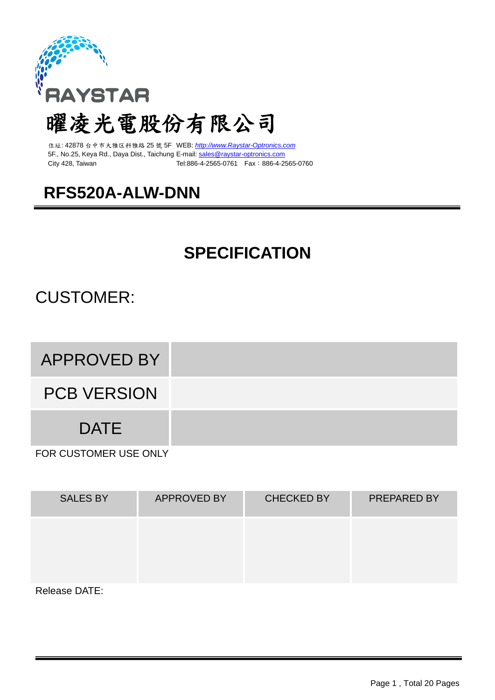

# 曜凌光電股份有限公司

住址: 42878 台中市大雅区科雅路 25 號 5F WEB: *[http://www.Raystar-Optronics.com](http://www.raystar.com/)* 5F., No.25, Keya Rd., Daya Dist., Taichung E-mail: [sales@raystar-optronics.com](mailto:sales@raystar-optronics.com) City 428, Taiwan Tel:886-4-2565-0761 Fax:886-4-2565-0760

## **RFS520A-ALW-DNN**

## **SPECIFICATION**

## CUSTOMER:

## APPROVED BY

PCB VERSION

**DATE** 

FOR CUSTOMER USE ONLY

| <b>SALES BY</b> | <b>APPROVED BY</b> | <b>CHECKED BY</b> | <b>PREPARED BY</b> |
|-----------------|--------------------|-------------------|--------------------|
|                 |                    |                   |                    |
|                 |                    |                   |                    |
| Release DATE:   |                    |                   |                    |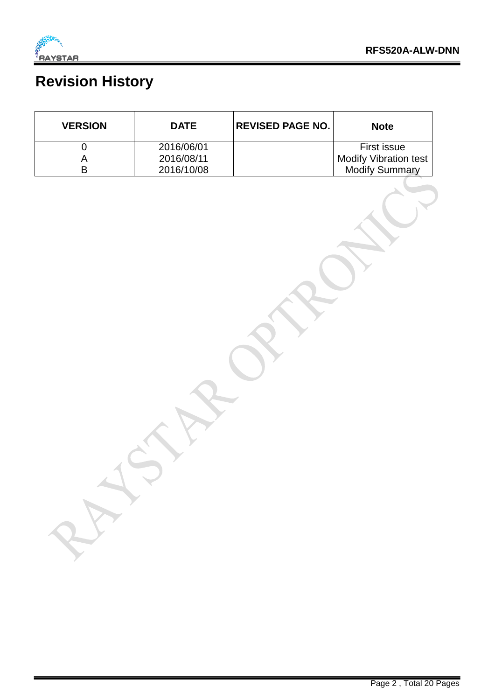

## **Revision History**

| <b>VERSION</b> | <b>DATE</b> | <b>REVISED PAGE NO.</b> | <b>Note</b>                  |
|----------------|-------------|-------------------------|------------------------------|
|                | 2016/06/01  |                         | First issue                  |
|                | 2016/08/11  |                         | <b>Modify Vibration test</b> |
|                | 2016/10/08  |                         | <b>Modify Summary</b>        |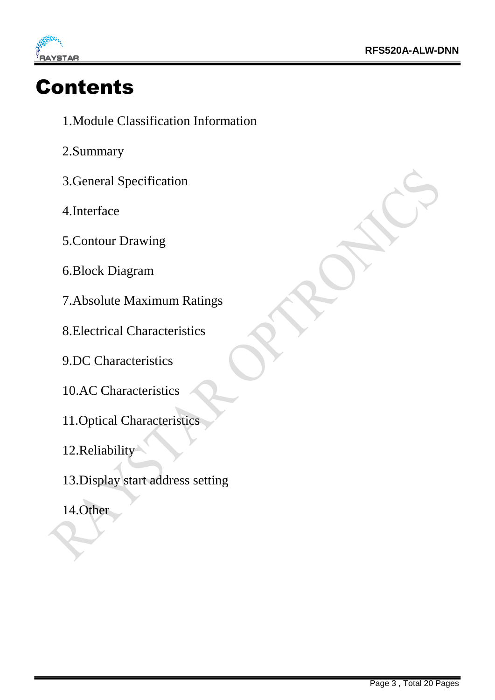

# Contents

- 1.Module Classification Information
- 2.Summary
- 3.General Specification
- 4.Interface
- 5.Contour Drawing
- 6.Block Diagram
- 7.Absolute Maximum Ratings
- 8.Electrical Characteristics
- 9.DC Characteristics
- 10.AC Characteristics
- 11.Optical Characteristics
- 12.Reliability
- 13.Display start address setting
- 14.Other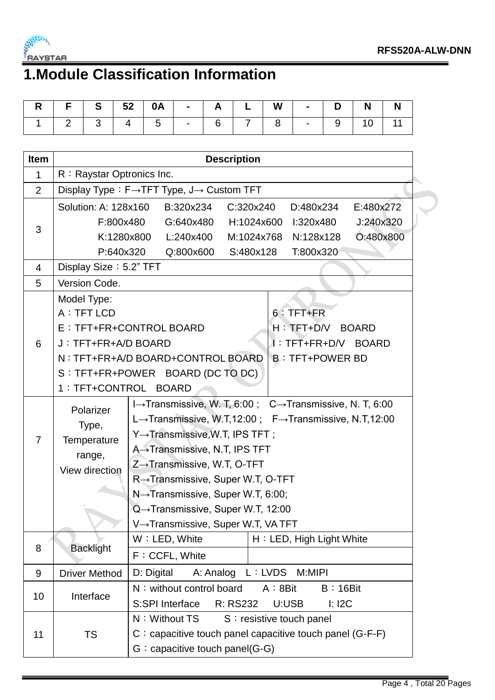

# **1.Module Classification Information**

| R   F   S   52   0A   -   A   L   W   -   D   N   N |  |  |  |  |  |  |
|-----------------------------------------------------|--|--|--|--|--|--|
| 2   3   4   5   -   6   7   8   -   9   10   11     |  |  |  |  |  |  |

| <b>Item</b>    | <b>Description</b>                      |                                                                          |  |  |  |  |  |  |  |  |
|----------------|-----------------------------------------|--------------------------------------------------------------------------|--|--|--|--|--|--|--|--|
| 1              | R: Raystar Optronics Inc.               |                                                                          |  |  |  |  |  |  |  |  |
| $\overline{2}$ | Display Type: F→TFT Type, J→ Custom TFT |                                                                          |  |  |  |  |  |  |  |  |
|                |                                         | Solution: A: 128x160<br>C:320x240<br>D:480x234<br>E:480x272<br>B:320x234 |  |  |  |  |  |  |  |  |
|                | F:800x480                               | J:240x320<br>G:640x480<br>H:1024x600<br>l:320x480                        |  |  |  |  |  |  |  |  |
| 3              | K:1280x800                              | O:480x800<br>L:240x400<br>M:1024x768<br>N:128x128                        |  |  |  |  |  |  |  |  |
|                | P:640x320                               | Q:800x600<br>S:480x128<br>T:800x320                                      |  |  |  |  |  |  |  |  |
| 4              | Display Size: 5.2" TFT                  |                                                                          |  |  |  |  |  |  |  |  |
| 5              | Version Code.                           |                                                                          |  |  |  |  |  |  |  |  |
|                | Model Type:                             |                                                                          |  |  |  |  |  |  |  |  |
|                | A : TFT LCD                             | $6:$ TFT+FR                                                              |  |  |  |  |  |  |  |  |
|                |                                         | E : TFT+FR+CONTROL BOARD<br>H: TET+D/V BOARD                             |  |  |  |  |  |  |  |  |
| 6              | J: TFT+FR+A/D BOARD                     | I: TFT+FR+D/V BOARD                                                      |  |  |  |  |  |  |  |  |
|                |                                         | N: TFT+FR+A/D BOARD+CONTROL BOARD<br><b>B: TFT+POWER BD</b>              |  |  |  |  |  |  |  |  |
|                |                                         | S : TFT+FR+POWER BOARD (DC TO DC)                                        |  |  |  |  |  |  |  |  |
|                | 1 : TFT+CONTROL BOARD                   |                                                                          |  |  |  |  |  |  |  |  |
|                | Polarizer                               | I→Transmissive, W. T, 6:00; C→Transmissive, N. T, 6:00                   |  |  |  |  |  |  |  |  |
|                |                                         | L→Transmissive, W.T,12:00; F→Transmissive, N.T,12:00                     |  |  |  |  |  |  |  |  |
| 7              | Type,<br>Temperature                    | Y→Transmissive, W.T, IPS TFT;                                            |  |  |  |  |  |  |  |  |
|                | range,                                  | A→Transmissive, N.T, IPS TFT                                             |  |  |  |  |  |  |  |  |
|                | View direction                          | $Z \rightarrow$ Transmissive, W.T, O-TFT                                 |  |  |  |  |  |  |  |  |
|                |                                         | R→Transmissive, Super W.T, O-TFT                                         |  |  |  |  |  |  |  |  |
|                |                                         | $N \rightarrow$ Transmissive, Super W.T, 6:00;                           |  |  |  |  |  |  |  |  |
|                |                                         | Q→Transmissive, Super W.T, 12:00                                         |  |  |  |  |  |  |  |  |
|                |                                         | V→Transmissive, Super W.T, VA TFT                                        |  |  |  |  |  |  |  |  |
|                |                                         | W: LED, White<br>H: LED, High Light White                                |  |  |  |  |  |  |  |  |
| 8              | <b>Backlight</b>                        | F: CCFL, White                                                           |  |  |  |  |  |  |  |  |
| 9              | <b>Driver Method</b>                    | D: Digital<br>A: Analog<br>L: LVDS<br>M:MIPI                             |  |  |  |  |  |  |  |  |
|                |                                         | N: without control board<br>A:8Bit<br>$B:16B$ it                         |  |  |  |  |  |  |  |  |
| 10             | Interface                               | R: RS232<br>S:SPI Interface<br>U:USB<br>$l:$ I2C                         |  |  |  |  |  |  |  |  |
|                |                                         | N: Without TS<br>S: resistive touch panel                                |  |  |  |  |  |  |  |  |
| 11             | <b>TS</b>                               | $C$ : capacitive touch panel capacitive touch panel (G-F-F)              |  |  |  |  |  |  |  |  |
|                |                                         | $G:$ capacitive touch panel(G-G)                                         |  |  |  |  |  |  |  |  |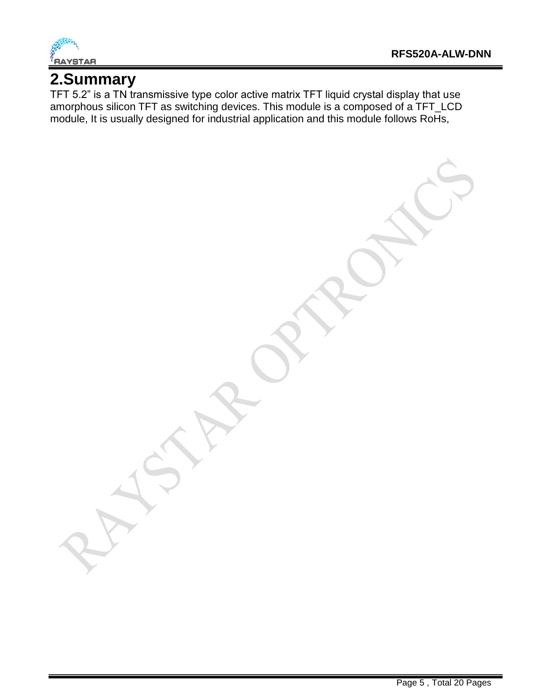

#### **2.Summary**

TFT 5.2" is a TN transmissive type color active matrix TFT liquid crystal display that use amorphous silicon TFT as switching devices. This module is a composed of a TFT\_LCD module, It is usually designed for industrial application and this module follows RoHs,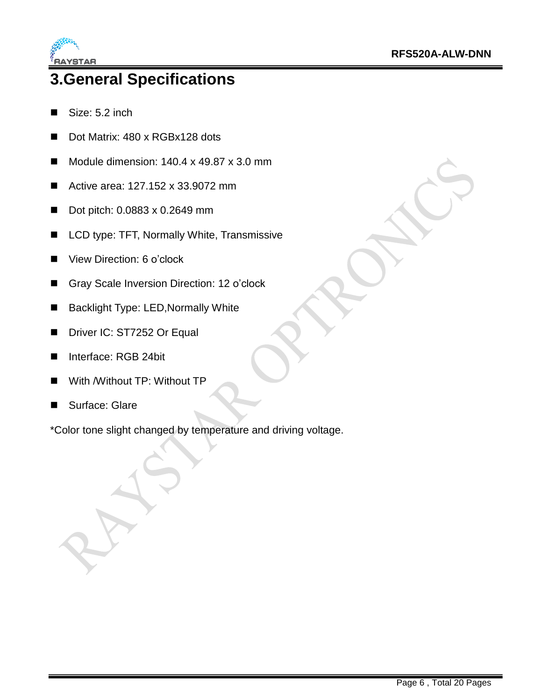

## **3.General Specifications**

- Size: 5.2 inch
- Dot Matrix: 480 x RGBx128 dots
- Module dimension:  $140.4 \times 49.87 \times 3.0 \text{ mm}$
- Active area: 127.152 x 33.9072 mm
- Dot pitch: 0.0883 x 0.2649 mm
- LCD type: TFT, Normally White, Transmissive
- View Direction: 6 o'clock
- Gray Scale Inversion Direction: 12 o'clock
- Backlight Type: LED, Normally White
- Driver IC: ST7252 Or Equal
- Interface: RGB 24bit
- With /Without TP: Without TP
- Surface: Glare

\*Color tone slight changed by temperature and driving voltage.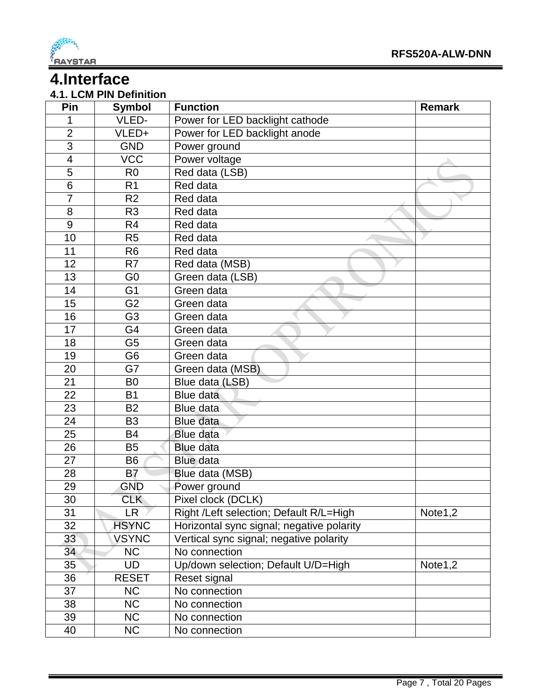

#### **4.Interface**

#### **4.1. LCM PIN Definition**

| Pin                     | <b>Symbol</b>  | <b>Function</b>                           | <b>Remark</b> |
|-------------------------|----------------|-------------------------------------------|---------------|
| 1                       | VLED-          | Power for LED backlight cathode           |               |
| $\overline{2}$          | VLED+          | Power for LED backlight anode             |               |
| 3                       | <b>GND</b>     | Power ground                              |               |
| $\overline{\mathbf{4}}$ | <b>VCC</b>     | Power voltage                             |               |
| 5                       | R <sub>0</sub> | Red data (LSB)                            |               |
| $\overline{6}$          | R <sub>1</sub> | Red data                                  |               |
| $\overline{7}$          | R <sub>2</sub> | Red data                                  |               |
| 8                       | R <sub>3</sub> | Red data                                  |               |
| $\overline{9}$          | R <sub>4</sub> | Red data                                  |               |
| 10                      | R <sub>5</sub> | Red data                                  |               |
| 11                      | R <sub>6</sub> | Red data                                  |               |
| 12                      | R <sub>7</sub> | Red data (MSB)                            |               |
| 13                      | G <sub>0</sub> | Green data (LSB)                          |               |
| 14                      | G <sub>1</sub> | Green data                                |               |
| 15                      | G <sub>2</sub> | Green data                                |               |
| 16                      | G <sub>3</sub> | Green data                                |               |
| 17                      | G4             | Green data                                |               |
| 18                      | G <sub>5</sub> | Green data                                |               |
| 19                      | G <sub>6</sub> | Green data                                |               |
| 20                      | G7             | Green data (MSB)                          |               |
| 21                      | B <sub>0</sub> | Blue data (LSB)                           |               |
| 22                      | <b>B1</b>      | Blue data                                 |               |
| 23                      | <b>B2</b>      | Blue data                                 |               |
| 24                      | B <sub>3</sub> | Blue data                                 |               |
| 25                      | <b>B4</b>      | Blue data                                 |               |
| 26                      | <b>B5</b>      | <b>Blue data</b>                          |               |
| 27                      | <b>B6</b>      | <b>Blue data</b>                          |               |
| 28                      | B7             | Blue data (MSB)                           |               |
| 29                      | <b>GND</b>     | Power ground                              |               |
| 30                      | CLK            | Pixel clock (DCLK)                        |               |
| 31                      | LR.            | Right /Left selection; Default R/L=High   | Note1,2       |
| 32                      | <b>HSYNC</b>   | Horizontal sync signal; negative polarity |               |
| 33                      | <b>VSYNC</b>   | Vertical sync signal; negative polarity   |               |
| 34                      | <b>NC</b>      | No connection                             |               |
| 35                      | UD             | Up/down selection; Default U/D=High       | Note1,2       |
| 36                      | <b>RESET</b>   | Reset signal                              |               |
| 37                      | <b>NC</b>      | No connection                             |               |
| 38                      | <b>NC</b>      | No connection                             |               |
| 39                      | <b>NC</b>      | No connection                             |               |
| 40                      | <b>NC</b>      | No connection                             |               |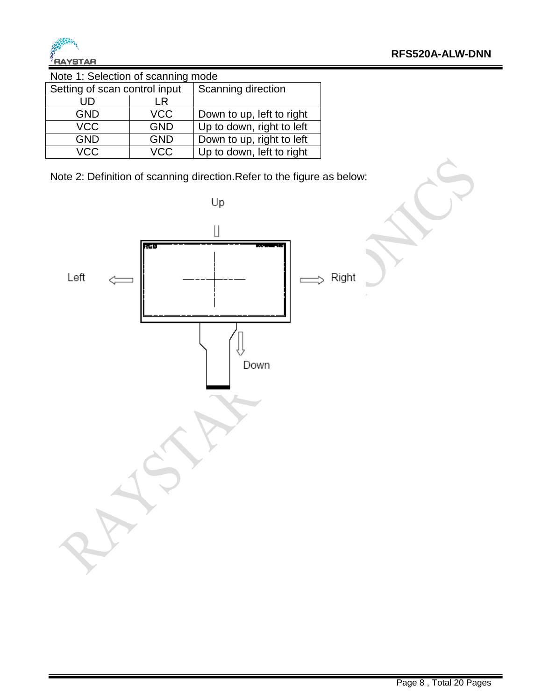

Note 1: Selection of scanning mode

| Setting of scan control input |            | Scanning direction        |  |  |  |  |
|-------------------------------|------------|---------------------------|--|--|--|--|
| UD                            | LR         |                           |  |  |  |  |
| <b>GND</b>                    | <b>VCC</b> | Down to up, left to right |  |  |  |  |
| <b>VCC</b>                    | <b>GND</b> | Up to down, right to left |  |  |  |  |
| <b>GND</b>                    | <b>GND</b> | Down to up, right to left |  |  |  |  |
| <b>VCC</b>                    | <b>VCC</b> | Up to down, left to right |  |  |  |  |

Note 2: Definition of scanning direction.Refer to the figure as below:

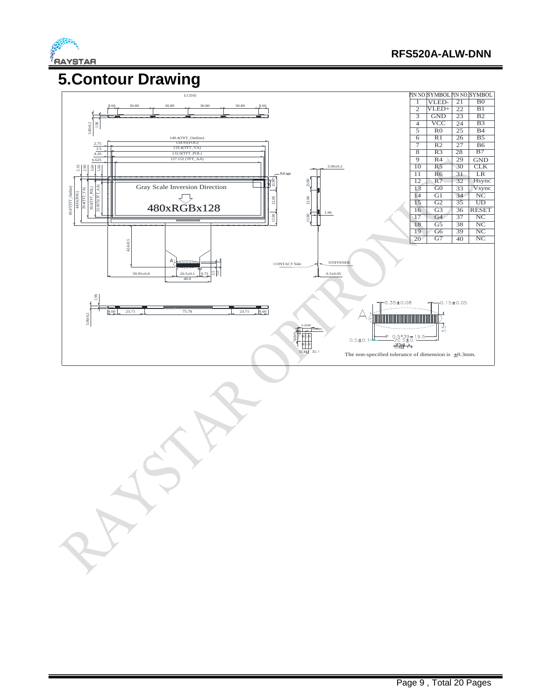

# **5.Contour Drawing**

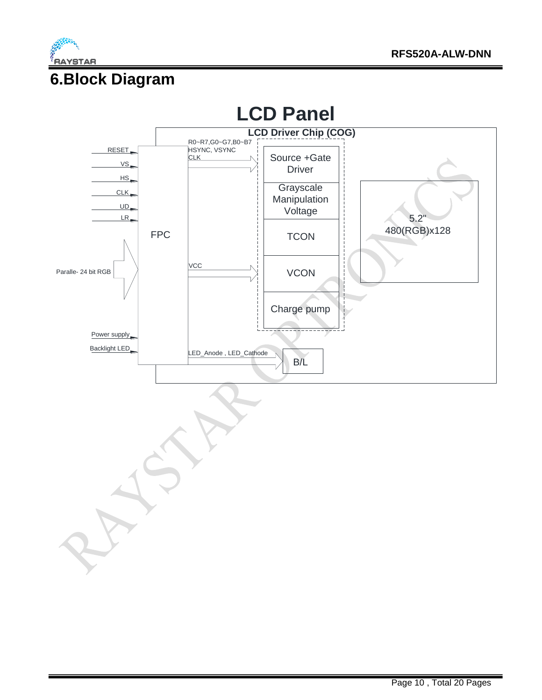

#### **6.Block Diagram**

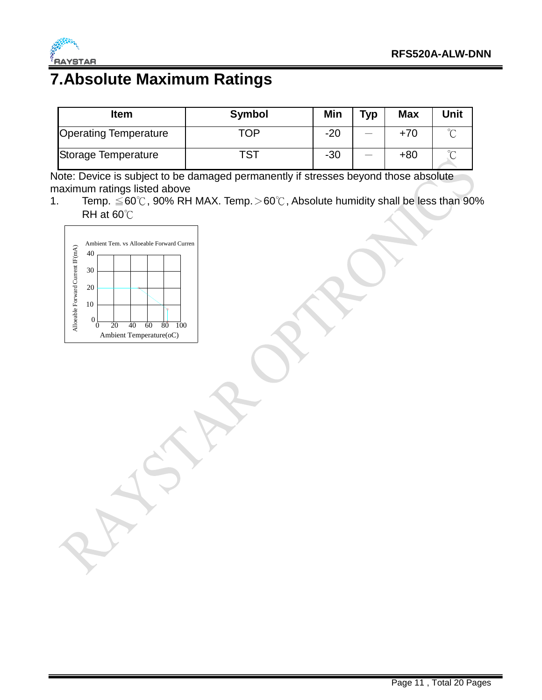

#### **7.Absolute Maximum Ratings**

| <b>Item</b>                  | <b>Symbol</b> | Min   | <b>Typ</b> | <b>Max</b> | Unit |
|------------------------------|---------------|-------|------------|------------|------|
| <b>Operating Temperature</b> | TOP           | $-20$ |            | +70        |      |
| Storage Temperature          | тст           | $-30$ |            | $+80$      |      |

Note: Device is subject to be damaged permanently if stresses beyond those absolute maximum ratings listed above

1. Temp. ≦60℃, 90% RH MAX. Temp.>60℃, Absolute humidity shall be less than 90% RH at 60℃

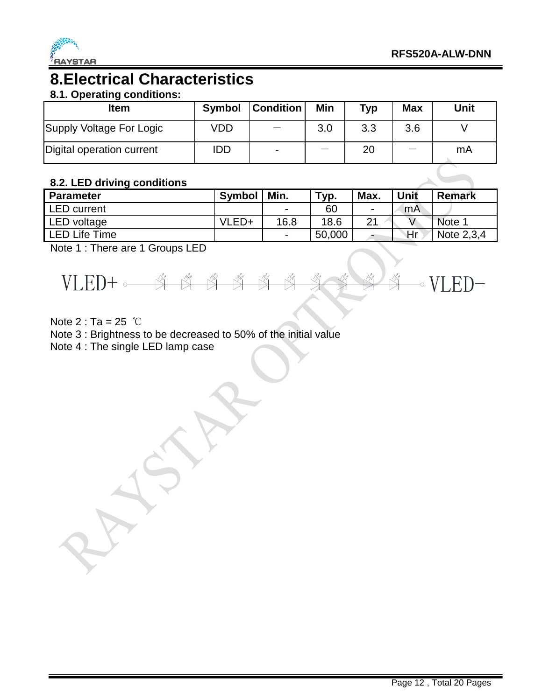

#### **8.Electrical Characteristics**

#### **8.1. Operating conditions:**

| Item                      | <b>Symbol</b> | <b>Condition</b> | Min | Typ | <b>Max</b> | Unit |
|---------------------------|---------------|------------------|-----|-----|------------|------|
| Supply Voltage For Logic  | <b>VDD</b>    |                  | 3.0 | 3.3 | 3.6        |      |
| Digital operation current | <b>IDD</b>    | $\blacksquare$   |     | 20  |            | mA   |

#### **8.2. LED driving conditions**

| <b>Parameter</b>     | <b>Symbol</b> | Min. | $\tau_{\mathsf{V} \mathsf{p}}$ . | Max. | <b>Unit</b> | <b>Remark</b> |
|----------------------|---------------|------|----------------------------------|------|-------------|---------------|
| <b>LED</b> current   |               | -    | 60                               |      | mA          |               |
| <b>LED</b> voltage   | VLED+         | 16.8 | 18.6                             | 21   |             | Note 1        |
| <b>LED Life Time</b> |               |      | 50,000                           |      | ١Hr         | Note 2,3,4    |

Note 1 : There are 1 Groups LED



Note  $2: Ta = 25$  ℃

Note 3 : Brightness to be decreased to 50% of the initial value

Note 4 : The single LED lamp case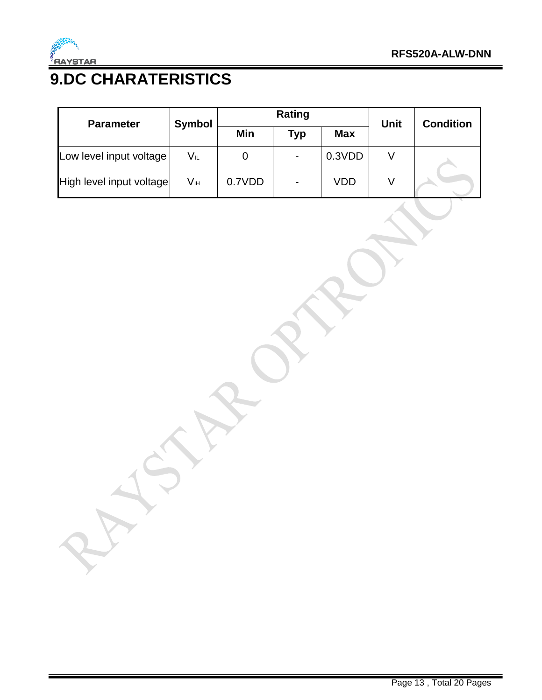

# **9.DC CHARATERISTICS**

| <b>Parameter</b>         | <b>Symbol</b> | <b>Rating</b> |                          |            | <b>Unit</b> | <b>Condition</b> |
|--------------------------|---------------|---------------|--------------------------|------------|-------------|------------------|
|                          |               | Min           | Typ                      | <b>Max</b> |             |                  |
| Low level input voltage  | VL            | 0             | $\overline{\phantom{a}}$ | 0.3VDD     |             |                  |
| High level input voltage | Vн            | 0.7VDD        | $\blacksquare$           | VDD        |             |                  |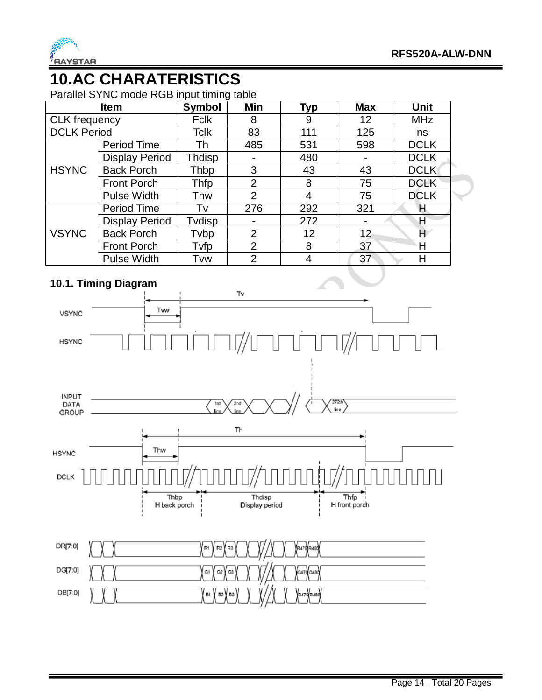

#### **10.AC CHARATERISTICS**

Parallel SYNC mode RGB input timing table

|                      | <b>Item</b>           | <b>Symbol</b> | Min            | <b>Typ</b> | <b>Max</b>      | <b>Unit</b> |  |
|----------------------|-----------------------|---------------|----------------|------------|-----------------|-------------|--|
| <b>CLK</b> frequency |                       | Fclk          | 8              | 9          | 12              | <b>MHz</b>  |  |
| <b>DCLK Period</b>   |                       | <b>Tclk</b>   | 83             | 111        | 125             | ns          |  |
|                      | Period Time           | Th            | 485            | 531        | 598             | <b>DCLK</b> |  |
|                      | <b>Display Period</b> | Thdisp        |                | 480        |                 | <b>DCLK</b> |  |
| <b>HSYNC</b>         | <b>Back Porch</b>     | Thbp          | 3              | 43         | 43              | <b>DCLK</b> |  |
|                      | <b>Front Porch</b>    | Thfp          | $\overline{2}$ | 8          | 75              | <b>DCLK</b> |  |
|                      | <b>Pulse Width</b>    | Thw           | 2              | 4          | 75              | <b>DCLK</b> |  |
|                      | Period Time           | Tv            | 276            | 292        | 321             | Η           |  |
|                      | <b>Display Period</b> | Tvdisp        | $\blacksquare$ | 272        |                 | Η           |  |
| <b>VSYNC</b>         | <b>Back Porch</b>     | Tvbp          | 2              | 12         | 12 <sub>2</sub> | H           |  |
|                      | <b>Front Porch</b>    | Tvfp          | $\overline{2}$ | 8          | 37              | Н           |  |
|                      | <b>Pulse Width</b>    | Tvw           | 2              | 4          | 37              | Н           |  |

#### **10.1. Timing Diagram**

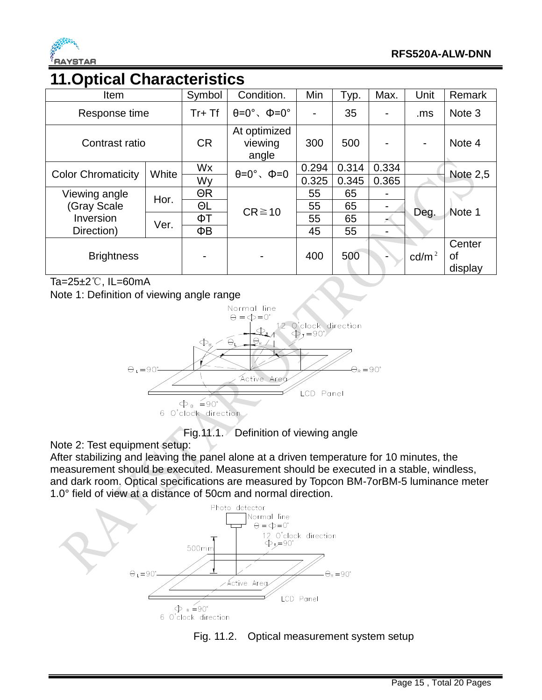

#### **11.Optical Characteristics**

| Item                      |       | Symbol         | Condition.                            | Min   | Typ.  | Max.  | Unit            | Remark                  |
|---------------------------|-------|----------------|---------------------------------------|-------|-------|-------|-----------------|-------------------------|
| Response time             |       | $Tr+Tf$        | $\theta = 0^\circ$ , $\Phi = 0^\circ$ |       | 35    |       | .ms             | Note 3                  |
| Contrast ratio            |       | <b>CR</b>      | At optimized<br>viewing<br>angle      | 300   | 500   |       |                 | Note 4                  |
| <b>Color Chromaticity</b> | White | Wx             | $\theta = 0^\circ$ , $\Phi = 0$       | 0.294 | 0.314 | 0.334 |                 | <b>Note 2,5</b>         |
|                           |       | Wy             |                                       | 0.325 | 0.345 | 0.365 |                 |                         |
| Viewing angle             | Hor.  | $\Theta$ R     |                                       | 55    | 65    |       |                 |                         |
| (Gray Scale               |       | ΘL             | $CR \ge 10$                           | 55    | 65    |       |                 |                         |
| Inversion                 |       | ΦT             |                                       | 55    | 65    |       | Deg.            | Note 1                  |
| Direction)                | Ver.  | ΦB             |                                       | 45    | 55    |       |                 |                         |
| <b>Brightness</b>         |       | $\blacksquare$ |                                       | 400   | 500   |       | $\text{cd/m}^2$ | Center<br>οf<br>display |

Ta=25±2℃, IL=60mA

Note 1: Definition of viewing angle range



Fig.11.1. Definition of viewing angle

Note 2: Test equipment setup:

After stabilizing and leaving the panel alone at a driven temperature for 10 minutes, the measurement should be executed. Measurement should be executed in a stable, windless, and dark room. Optical specifications are measured by Topcon BM-7orBM-5 luminance meter 1.0° field of view at a distance of 50cm and normal direction.



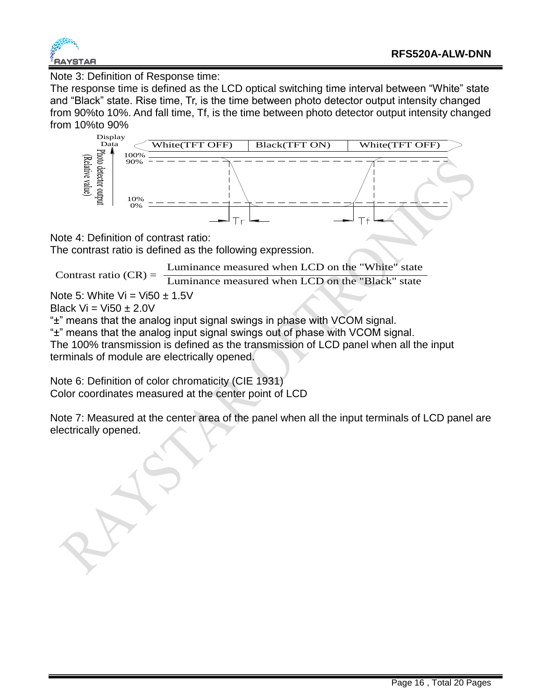

Note 3: Definition of Response time:

The response time is defined as the LCD optical switching time interval between "White" state and "Black" state. Rise time, Tr, is the time between photo detector output intensity changed from 90%to 10%. And fall time, Tf, is the time between photo detector output intensity changed from 10%to 90%



Note 4: Definition of contrast ratio:

The contrast ratio is defined as the following expression.

Luminance measured when LCD on the "White" state

Contrast ratio  $(CR) = \frac{2 \times 10^{-11} \text{ mJ} \times 10^{-11} \text{ mJ}}{Luminance measured when LCD on the "Black" state)}$ 

Note 5: White Vi = Vi50  $\pm$  1.5V

Black  $Vi = Vi50 + 2.0V$ 

"±" means that the analog input signal swings in phase with VCOM signal.

"±" means that the analog input signal swings out of phase with VCOM signal. The 100% transmission is defined as the transmission of LCD panel when all the input

terminals of module are electrically opened.

Note 6: Definition of color chromaticity (CIE 1931) Color coordinates measured at the center point of LCD

Note 7: Measured at the center area of the panel when all the input terminals of LCD panel are electrically opened.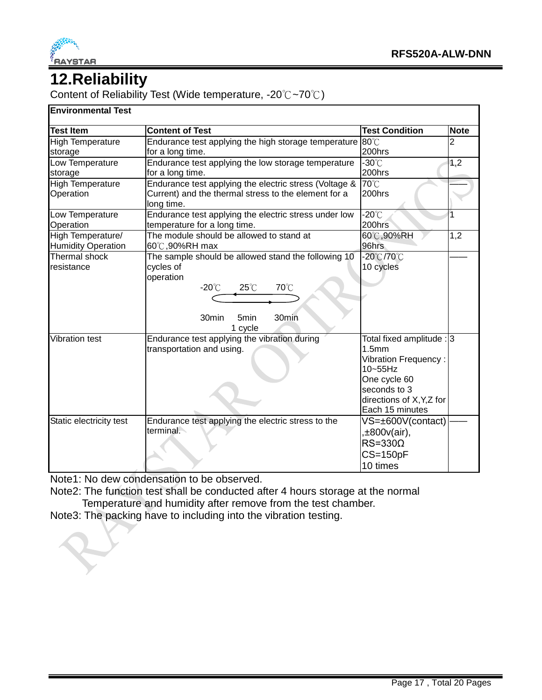

#### **12.Reliability**

Content of Reliability Test (Wide temperature, -20℃~70℃)

#### **Environmental Test**

| <b>Content of Test</b><br><b>Test Condition</b><br><b>Note</b><br>$80^{\circ}$ C<br><b>High Temperature</b><br>Endurance test applying the high storage temperature<br>2<br>200hrs<br>for a long time.<br>$-30^{\circ}$ C<br>Low Temperature<br>Endurance test applying the low storage temperature<br>1,2<br>200hrs<br>for a long time.<br>70°C<br>Endurance test applying the electric stress (Voltage &<br><b>High Temperature</b><br>200hrs<br>Current) and the thermal stress to the element for a<br>Operation<br>long time.<br>$-20^{\circ}$ C<br>Endurance test applying the electric stress under low<br>1<br>200hrs<br>Operation<br>temperature for a long time.<br>The module should be allowed to stand at<br>60°C,90%RH<br>High Temperature/<br>1,2<br>96hrs<br><b>Humidity Operation</b><br>60℃,90%RH max<br>Thermal shock<br>The sample should be allowed stand the following 10<br>-20℃/70℃<br>10 cycles<br>cycles of<br>operation<br>70°C<br>$-20^{\circ}$ C<br>$25^{\circ}$ C<br>30min<br>30min<br>5min<br>1 cycle<br>Endurance test applying the vibration during<br><b>Vibration test</b><br>Total fixed amplitude : 3<br>1.5mm<br>transportation and using.<br><b>Vibration Frequency:</b><br>$10 - 55$ Hz<br>One cycle 60<br>seconds to 3<br>directions of X, Y, Z for<br>Each 15 minutes |                         |                                                    |                   |  |
|-----------------------------------------------------------------------------------------------------------------------------------------------------------------------------------------------------------------------------------------------------------------------------------------------------------------------------------------------------------------------------------------------------------------------------------------------------------------------------------------------------------------------------------------------------------------------------------------------------------------------------------------------------------------------------------------------------------------------------------------------------------------------------------------------------------------------------------------------------------------------------------------------------------------------------------------------------------------------------------------------------------------------------------------------------------------------------------------------------------------------------------------------------------------------------------------------------------------------------------------------------------------------------------------------------------------|-------------------------|----------------------------------------------------|-------------------|--|
|                                                                                                                                                                                                                                                                                                                                                                                                                                                                                                                                                                                                                                                                                                                                                                                                                                                                                                                                                                                                                                                                                                                                                                                                                                                                                                                 | <b>Test Item</b>        |                                                    |                   |  |
|                                                                                                                                                                                                                                                                                                                                                                                                                                                                                                                                                                                                                                                                                                                                                                                                                                                                                                                                                                                                                                                                                                                                                                                                                                                                                                                 |                         |                                                    |                   |  |
|                                                                                                                                                                                                                                                                                                                                                                                                                                                                                                                                                                                                                                                                                                                                                                                                                                                                                                                                                                                                                                                                                                                                                                                                                                                                                                                 | storage                 |                                                    |                   |  |
|                                                                                                                                                                                                                                                                                                                                                                                                                                                                                                                                                                                                                                                                                                                                                                                                                                                                                                                                                                                                                                                                                                                                                                                                                                                                                                                 |                         |                                                    |                   |  |
|                                                                                                                                                                                                                                                                                                                                                                                                                                                                                                                                                                                                                                                                                                                                                                                                                                                                                                                                                                                                                                                                                                                                                                                                                                                                                                                 | storage                 |                                                    |                   |  |
|                                                                                                                                                                                                                                                                                                                                                                                                                                                                                                                                                                                                                                                                                                                                                                                                                                                                                                                                                                                                                                                                                                                                                                                                                                                                                                                 |                         |                                                    |                   |  |
|                                                                                                                                                                                                                                                                                                                                                                                                                                                                                                                                                                                                                                                                                                                                                                                                                                                                                                                                                                                                                                                                                                                                                                                                                                                                                                                 |                         |                                                    |                   |  |
|                                                                                                                                                                                                                                                                                                                                                                                                                                                                                                                                                                                                                                                                                                                                                                                                                                                                                                                                                                                                                                                                                                                                                                                                                                                                                                                 | Low Temperature         |                                                    |                   |  |
|                                                                                                                                                                                                                                                                                                                                                                                                                                                                                                                                                                                                                                                                                                                                                                                                                                                                                                                                                                                                                                                                                                                                                                                                                                                                                                                 |                         |                                                    |                   |  |
|                                                                                                                                                                                                                                                                                                                                                                                                                                                                                                                                                                                                                                                                                                                                                                                                                                                                                                                                                                                                                                                                                                                                                                                                                                                                                                                 |                         |                                                    |                   |  |
|                                                                                                                                                                                                                                                                                                                                                                                                                                                                                                                                                                                                                                                                                                                                                                                                                                                                                                                                                                                                                                                                                                                                                                                                                                                                                                                 |                         |                                                    |                   |  |
|                                                                                                                                                                                                                                                                                                                                                                                                                                                                                                                                                                                                                                                                                                                                                                                                                                                                                                                                                                                                                                                                                                                                                                                                                                                                                                                 |                         |                                                    |                   |  |
|                                                                                                                                                                                                                                                                                                                                                                                                                                                                                                                                                                                                                                                                                                                                                                                                                                                                                                                                                                                                                                                                                                                                                                                                                                                                                                                 | resistance              |                                                    |                   |  |
|                                                                                                                                                                                                                                                                                                                                                                                                                                                                                                                                                                                                                                                                                                                                                                                                                                                                                                                                                                                                                                                                                                                                                                                                                                                                                                                 |                         |                                                    |                   |  |
|                                                                                                                                                                                                                                                                                                                                                                                                                                                                                                                                                                                                                                                                                                                                                                                                                                                                                                                                                                                                                                                                                                                                                                                                                                                                                                                 |                         |                                                    |                   |  |
|                                                                                                                                                                                                                                                                                                                                                                                                                                                                                                                                                                                                                                                                                                                                                                                                                                                                                                                                                                                                                                                                                                                                                                                                                                                                                                                 |                         |                                                    |                   |  |
|                                                                                                                                                                                                                                                                                                                                                                                                                                                                                                                                                                                                                                                                                                                                                                                                                                                                                                                                                                                                                                                                                                                                                                                                                                                                                                                 |                         |                                                    |                   |  |
|                                                                                                                                                                                                                                                                                                                                                                                                                                                                                                                                                                                                                                                                                                                                                                                                                                                                                                                                                                                                                                                                                                                                                                                                                                                                                                                 |                         |                                                    |                   |  |
|                                                                                                                                                                                                                                                                                                                                                                                                                                                                                                                                                                                                                                                                                                                                                                                                                                                                                                                                                                                                                                                                                                                                                                                                                                                                                                                 |                         |                                                    |                   |  |
|                                                                                                                                                                                                                                                                                                                                                                                                                                                                                                                                                                                                                                                                                                                                                                                                                                                                                                                                                                                                                                                                                                                                                                                                                                                                                                                 |                         |                                                    |                   |  |
|                                                                                                                                                                                                                                                                                                                                                                                                                                                                                                                                                                                                                                                                                                                                                                                                                                                                                                                                                                                                                                                                                                                                                                                                                                                                                                                 |                         |                                                    |                   |  |
|                                                                                                                                                                                                                                                                                                                                                                                                                                                                                                                                                                                                                                                                                                                                                                                                                                                                                                                                                                                                                                                                                                                                                                                                                                                                                                                 |                         |                                                    |                   |  |
|                                                                                                                                                                                                                                                                                                                                                                                                                                                                                                                                                                                                                                                                                                                                                                                                                                                                                                                                                                                                                                                                                                                                                                                                                                                                                                                 |                         |                                                    |                   |  |
|                                                                                                                                                                                                                                                                                                                                                                                                                                                                                                                                                                                                                                                                                                                                                                                                                                                                                                                                                                                                                                                                                                                                                                                                                                                                                                                 |                         |                                                    |                   |  |
|                                                                                                                                                                                                                                                                                                                                                                                                                                                                                                                                                                                                                                                                                                                                                                                                                                                                                                                                                                                                                                                                                                                                                                                                                                                                                                                 |                         |                                                    |                   |  |
|                                                                                                                                                                                                                                                                                                                                                                                                                                                                                                                                                                                                                                                                                                                                                                                                                                                                                                                                                                                                                                                                                                                                                                                                                                                                                                                 |                         |                                                    |                   |  |
|                                                                                                                                                                                                                                                                                                                                                                                                                                                                                                                                                                                                                                                                                                                                                                                                                                                                                                                                                                                                                                                                                                                                                                                                                                                                                                                 | Static electricity test | Endurance test applying the electric stress to the | VS=±600V(contact) |  |
| terminal.<br>,±800v(air),                                                                                                                                                                                                                                                                                                                                                                                                                                                                                                                                                                                                                                                                                                                                                                                                                                                                                                                                                                                                                                                                                                                                                                                                                                                                                       |                         |                                                    |                   |  |
| $RS = 330\Omega$                                                                                                                                                                                                                                                                                                                                                                                                                                                                                                                                                                                                                                                                                                                                                                                                                                                                                                                                                                                                                                                                                                                                                                                                                                                                                                |                         |                                                    |                   |  |
| $CS = 150pF$                                                                                                                                                                                                                                                                                                                                                                                                                                                                                                                                                                                                                                                                                                                                                                                                                                                                                                                                                                                                                                                                                                                                                                                                                                                                                                    |                         |                                                    |                   |  |
| 10 times                                                                                                                                                                                                                                                                                                                                                                                                                                                                                                                                                                                                                                                                                                                                                                                                                                                                                                                                                                                                                                                                                                                                                                                                                                                                                                        |                         |                                                    |                   |  |

Note1: No dew condensation to be observed.

Note2: The function test shall be conducted after 4 hours storage at the normal Temperature and humidity after remove from the test chamber.

Note3: The packing have to including into the vibration testing.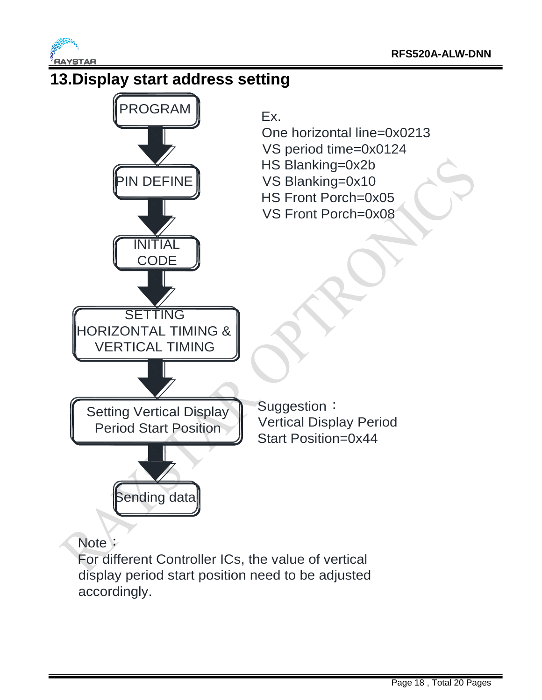



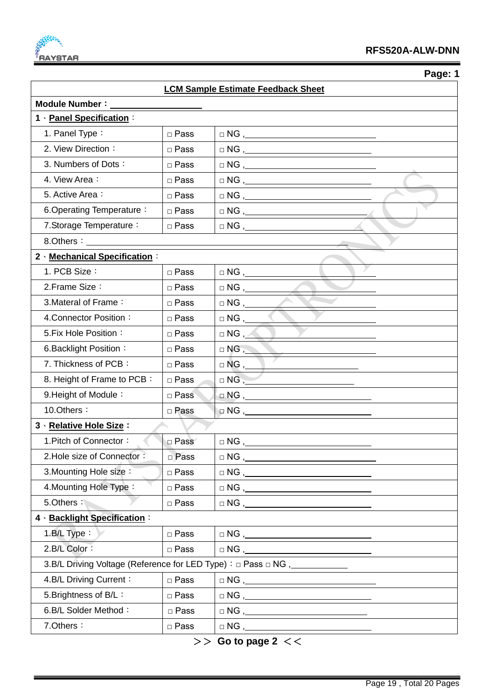

 **Page: 1**

|                                                                                  |             | <b>LCM Sample Estimate Feedback Sheet</b>                                                                                                                                                                                                                                                                                                           |  |  |
|----------------------------------------------------------------------------------|-------------|-----------------------------------------------------------------------------------------------------------------------------------------------------------------------------------------------------------------------------------------------------------------------------------------------------------------------------------------------------|--|--|
| <b>Module Number:</b>                                                            |             |                                                                                                                                                                                                                                                                                                                                                     |  |  |
| 1 · Panel Specification:                                                         |             |                                                                                                                                                                                                                                                                                                                                                     |  |  |
| 1. Panel Type:                                                                   | □ Pass      | $\begin{picture}(150,10) \put(0,0){\line(1,0){10}} \put(15,0){\line(1,0){10}} \put(15,0){\line(1,0){10}} \put(15,0){\line(1,0){10}} \put(15,0){\line(1,0){10}} \put(15,0){\line(1,0){10}} \put(15,0){\line(1,0){10}} \put(15,0){\line(1,0){10}} \put(15,0){\line(1,0){10}} \put(15,0){\line(1,0){10}} \put(15,0){\line(1,0){10}} \put(15,0){\line($ |  |  |
| 2. View Direction:                                                               | □ Pass      | $\begin{tabular}{c} $\square$ NG \end{tabular},$                                                                                                                                                                                                                                                                                                    |  |  |
| 3. Numbers of Dots:                                                              | □ Pass      | $\begin{tabular}{c} $\square$ NG \end{tabular},$                                                                                                                                                                                                                                                                                                    |  |  |
| 4. View Area:                                                                    | □ Pass      |                                                                                                                                                                                                                                                                                                                                                     |  |  |
| 5. Active Area:                                                                  | □ Pass      |                                                                                                                                                                                                                                                                                                                                                     |  |  |
| 6. Operating Temperature:                                                        | □ Pass      | $\begin{tabular}{c} $\vartriangle$ NG \end{tabular},$                                                                                                                                                                                                                                                                                               |  |  |
| 7. Storage Temperature:                                                          | □ Pass      |                                                                                                                                                                                                                                                                                                                                                     |  |  |
| 8.Others:                                                                        |             |                                                                                                                                                                                                                                                                                                                                                     |  |  |
| 2 Mechanical Specification:                                                      |             |                                                                                                                                                                                                                                                                                                                                                     |  |  |
| 1. PCB Size:                                                                     | □ Pass      |                                                                                                                                                                                                                                                                                                                                                     |  |  |
| 2. Frame Size:                                                                   | □ Pass      | $\Box$ NG , ______                                                                                                                                                                                                                                                                                                                                  |  |  |
| 3. Materal of Frame:                                                             | □ Pass      |                                                                                                                                                                                                                                                                                                                                                     |  |  |
| 4. Connector Position:                                                           | □ Pass      | $\Box$ NG , ____                                                                                                                                                                                                                                                                                                                                    |  |  |
| 5. Fix Hole Position:                                                            | □ Pass      | $\Box$ NG , $\angle$                                                                                                                                                                                                                                                                                                                                |  |  |
| 6. Backlight Position:                                                           | □ Pass      | $\Box$ NG , $\_\_\_\_\_\_\_\_\_$                                                                                                                                                                                                                                                                                                                    |  |  |
| 7. Thickness of PCB:                                                             | □ Pass      |                                                                                                                                                                                                                                                                                                                                                     |  |  |
| 8. Height of Frame to PCB:                                                       | □ Pass      | $\Box$ NG $, \underline{\phantom{A}}$                                                                                                                                                                                                                                                                                                               |  |  |
| 9. Height of Module:                                                             | □ Pass      |                                                                                                                                                                                                                                                                                                                                                     |  |  |
| 10.Others:                                                                       | □ Pass      | $\Box$ NG , $\_\_$                                                                                                                                                                                                                                                                                                                                  |  |  |
| 3 · Relative Hole Size:                                                          |             |                                                                                                                                                                                                                                                                                                                                                     |  |  |
| 1. Pitch of Connector:                                                           | □ Pass      | $\Box$ NG ,___                                                                                                                                                                                                                                                                                                                                      |  |  |
| 2. Hole size of Connector:                                                       | □ Pass      | $\hfill\square {\sf NG} \text{ ,} \underline{\hspace{1cm}}$                                                                                                                                                                                                                                                                                         |  |  |
| 3. Mounting Hole size:                                                           | □ Pass      | $\begin{tabular}{c} $\fbox{$\sim$} \cr \Box \hspace{2.0pt} \text{NG} \end{tabular}$                                                                                                                                                                                                                                                                 |  |  |
| 4. Mounting Hole Type:                                                           | $\Box$ Pass |                                                                                                                                                                                                                                                                                                                                                     |  |  |
| 5.Others:<br>$\Box$ Pass                                                         |             | $\hfill\square {\sf NG} \; , \underbrace{\hspace*{1.5cm} \hspace*{1.5cm} \hspace*{1.5cm} \hspace*{1.5cm} }_{\textstyle \begin{array}{c} \square \end{array}} \; \begin{array}{ll} \begin{array}{ll} \square \end{array} \; \begin{array}{ll} \square \end{array} \; . \label{eq:2.1} \end{array}$                                                   |  |  |
| 4 · Backlight Specification :                                                    |             |                                                                                                                                                                                                                                                                                                                                                     |  |  |
| 1.B/L Type:                                                                      | □ Pass      |                                                                                                                                                                                                                                                                                                                                                     |  |  |
| 2.B/L Color:<br>$\Box$ Pass                                                      |             |                                                                                                                                                                                                                                                                                                                                                     |  |  |
| 3.B/L Driving Voltage (Reference for LED Type) : □ Pass □ NG ,__________________ |             |                                                                                                                                                                                                                                                                                                                                                     |  |  |
| 4.B/L Driving Current:                                                           | □ Pass      |                                                                                                                                                                                                                                                                                                                                                     |  |  |
| 5. Brightness of B/L:                                                            | □ Pass      |                                                                                                                                                                                                                                                                                                                                                     |  |  |
| 6.B/L Solder Method:                                                             | □ Pass      | $\begin{tabular}{c} $\square$ NG \end{tabular},$                                                                                                                                                                                                                                                                                                    |  |  |
| 7.Others:                                                                        | □ Pass      | $\hfill\square {\sf NG}\ ,$                                                                                                                                                                                                                                                                                                                         |  |  |
|                                                                                  |             |                                                                                                                                                                                                                                                                                                                                                     |  |  |

>> **Go to page 2** <<